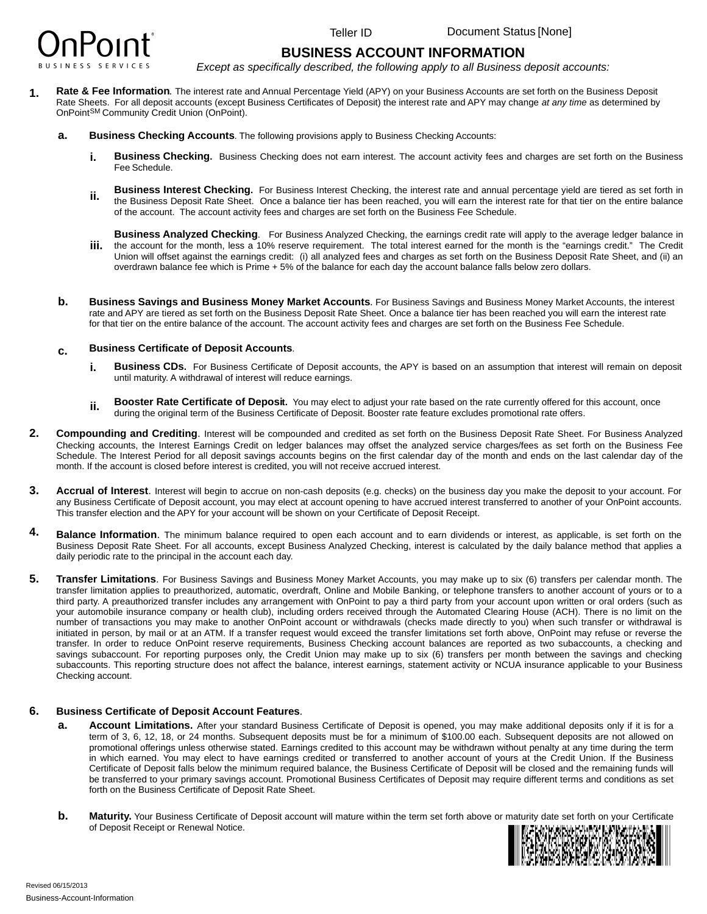

Document Status [None]

## **BUSINESS ACCOUNT INFORMATION**

*Except as specifically described, the following apply to all Business deposit accounts:*

- Rate & Fee Information. The interest rate and Annual Percentage Yield (APY) on your Business Accounts are set forth on the Business Deposit Rate Sheets. For all deposit accounts (except Business Certificates of Deposit) the interest rate and APY may change *at any time* as determined by OnPoint<sup>SM</sup> Community Credit Union (OnPoint).
	- **Business Checking Accounts**. The following provisions apply to Business Checking Accounts:
		- **Business Checking.** Business Checking does not earn interest. The account activity fees and charges are set forth on the Business Fee Schedule.
		- **Business Interest Checking.** For Business Interest Checking, the interest rate and annual percentage yield are tiered as set forth in the Business Deposit Rate Sheet. Once a balance tier has been reached, you will earn the interest rate for that tier on the entire balance of the account. The account activity fees and charges are set forth on the Business Fee Schedule.
		- **Business Analyzed Checking**. For Business Analyzed Checking, the earnings credit rate will apply to the average ledger balance in the account for the month, less a 10% reserve requirement. The total interest earned for the month is the "earnings credit." The Credit Union will offset against the earnings credit: (i) all analyzed fees and charges as set forth on the Business Deposit Rate Sheet, and (ii) an overdrawn balance fee which is Prime + 5% of the balance for each day the account balance falls below zero dollars.
	- **Business Savings and Business Money Market Accounts**. For Business Savings and Business Money Market Accounts, the interest rate and APY are tiered as set forth on the Business Deposit Rate Sheet. Once a balance tier has been reached you will earn the interest rate for that tier on the entire balance of the account. The account activity fees and charges are set forth on the Business Fee Schedule.

## **Business Certificate of Deposit Accounts**.

- **Business CDs.** For Business Certificate of Deposit accounts, the APY is based on an assumption that interest will remain on deposit until maturity. A withdrawal of interest will reduce earnings.
- **Booster Rate Certificate of Deposit.** You may elect to adjust your rate based on the rate currently offered for this account, once during the original term of the Business Certificate of Deposit. Booster rate feature excludes promotional rate offers.
- **Compounding and Crediting**. Interest will be compounded and credited as set forth on the Business Deposit Rate Sheet. For Business Analyzed Checking accounts, the Interest Earnings Credit on ledger balances may offset the analyzed service charges/fees as set forth on the Business Fee Schedule. The Interest Period for all deposit savings accounts begins on the first calendar day of the month and ends on the last calendar day of the month. If the account is closed before interest is credited, you will not receive accrued interest.
- **Accrual of Interest**. Interest will begin to accrue on non-cash deposits (e.g. checks) on the business day you make the deposit to your account. For any Business Certificate of Deposit account, you may elect at account opening to have accrued interest transferred to another of your OnPoint accounts. This transfer election and the APY for your account will be shown on your Certificate of Deposit Receipt.
- **Balance Information**. The minimum balance required to open each account and to earn dividends or interest, as applicable, is set forth on the Business Deposit Rate Sheet. For all accounts, except Business Analyzed Checking, interest is calculated by the daily balance method that applies a daily periodic rate to the principal in the account each day.
- **Transfer Limitations**. For Business Savings and Business Money Market Accounts, you may make up to six (6) transfers per calendar month. The transfer limitation applies to preauthorized, automatic, overdraft, Online and Mobile Banking, or telephone transfers to another account of yours or to a third party. A preauthorized transfer includes any arrangement with OnPoint to pay a third party from your account upon written or oral orders (such as your automobile insurance company or health club), including orders received through the Automated Clearing House (ACH). There is no limit on the number of transactions you may make to another OnPoint account or withdrawals (checks made directly to you) when such transfer or withdrawal is initiated in person, by mail or at an ATM. If a transfer request would exceed the transfer limitations set forth above, OnPoint may refuse or reverse the transfer. In order to reduce OnPoint reserve requirements, Business Checking account balances are reported as two subaccounts, a checking and savings subaccount. For reporting purposes only, the Credit Union may make up to six (6) transfers per month between the savings and checking subaccounts. This reporting structure does not affect the balance, interest earnings, statement activity or NCUA insurance applicable to your Business Checking account. **Comparing the comparison of the comparison of the status and the status and the status and the status and the status and the status and the status and the status and the status and the status and the status and the statu**

## **Business Certificate of Deposit Account Features**.

- **Account Limitations.** After your standard Business Certificate of Deposit is opened, you may make additional deposits only if it is for a term of 3, 6, 12, 18, or 24 months. Subsequent deposits must be for a minimum of \$100.00 each. Subsequent deposits are not allowed on promotional offerings unless otherwise stated. Earnings credited to this account may be withdrawn without penalty at any time during the term in which earned. You may elect to have earnings credited or transferred to another account of yours at the Credit Union. If the Business Certificate of Deposit falls below the minimum required balance, the Business Certificate of Deposit will be closed and the remaining funds will be transferred to your primary savings account. Promotional Business Certificates of Deposit may require different terms and conditions as set forth on the Business Certificate of Deposit Rate Sheet.
- **Maturity.** Your Business Certificate of Deposit account will mature within the term set forth above or maturity date set forth on your Certificate of Deposit account will mature within the term set forth above or maturity